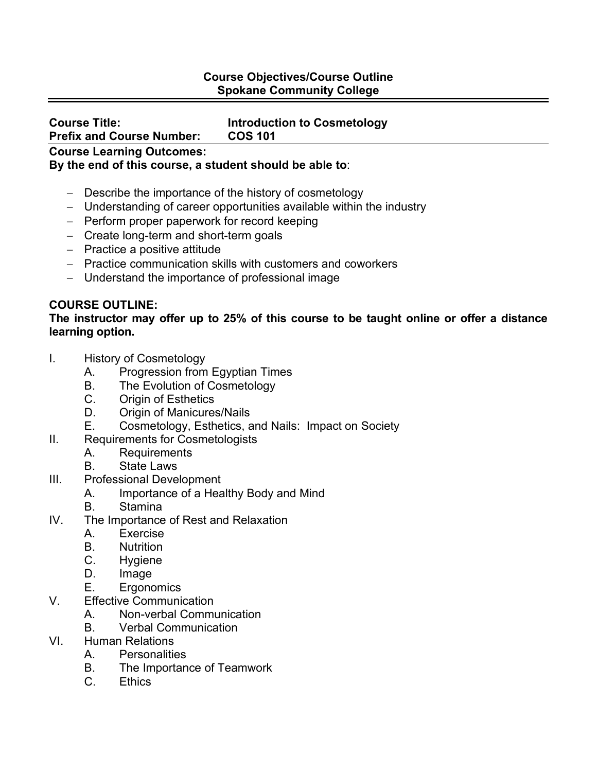## **Course Objectives/Course Outline Spokane Community College**

## **Course Title: Introduction to Cosmetology Prefix and Course Number: COS 101**

**Course Learning Outcomes: By the end of this course, a student should be able to**:

- − Describe the importance of the history of cosmetology
- − Understanding of career opportunities available within the industry
- − Perform proper paperwork for record keeping
- − Create long-term and short-term goals
- − Practice a positive attitude
- − Practice communication skills with customers and coworkers
- − Understand the importance of professional image

## **COURSE OUTLINE:**

**The instructor may offer up to 25% of this course to be taught online or offer a distance learning option.**

- I. History of Cosmetology
	- A. Progression from Egyptian Times
	- B. The Evolution of Cosmetology
	- C. Origin of Esthetics
	- D. Origin of Manicures/Nails
	- E. Cosmetology, Esthetics, and Nails: Impact on Society
- II. Requirements for Cosmetologists
	- A. Requirements
	- B. State Laws
- III. Professional Development
	- A. Importance of a Healthy Body and Mind
		- B. Stamina
- IV. The Importance of Rest and Relaxation
	- A. Exercise
	- B. Nutrition
	- C. Hygiene
	- D. Image
	- E. Ergonomics
- V. Effective Communication
	- A. Non-verbal Communication
	- B. Verbal Communication
- VI. Human Relations
	- A. Personalities
	- B. The Importance of Teamwork<br>C. Ethics
	- **Ethics**